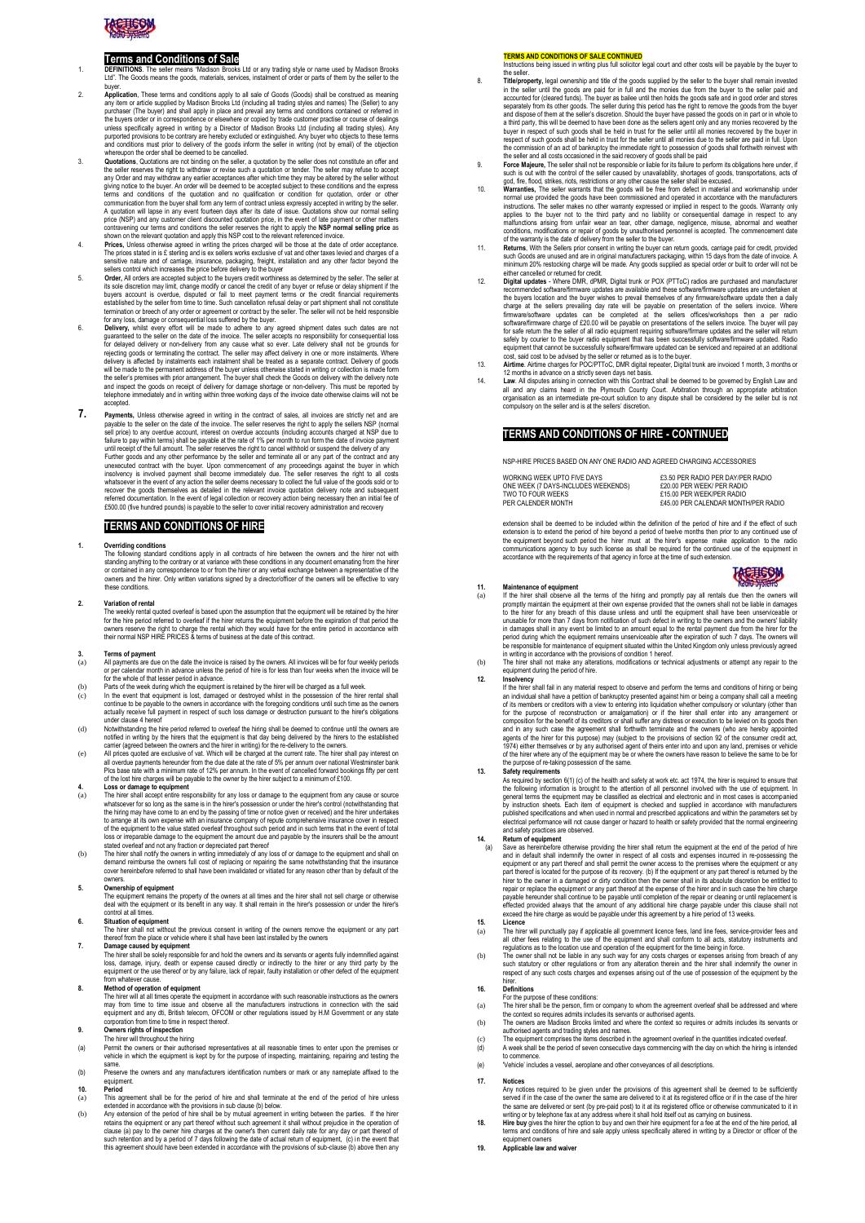

- **Terms and Conditions of Sale**<br>DEFINITIONS. The seller means "Madison Brooks Ltd or any trading style or name used by Madison Brooks<br>Ltd". The Goods means the goods, materials, services, instalment of order or parts of the
- .<br>**Application** and sale of Goods (Goods) shall be construent any item or article supplied by Madison Brooks Ltd (including all trading styles and names) The (Seller) to any purchaser (The buyer) and shall apply in place and prevail any terms and conditions contained or referred in<br>the buyers order or in correspondence or elsewhere or copied by trade customer practise or course of dealings<br>unl
- purported provisions to be contrary are hereby excluded or extinguished. Any buyer who objects to these terms<br>and conditions must prior to delivery of the goods inform the seller in writing (not by email) of the objection<br> terms and conditions of the qualitation and no qualification or conditions for quotation, order or other communication from the buyer shall form any term of contract unless expressly accepted in writing by the seller. A qu
- 
- 
- fermination on treech of any order or agreement or contract by the seller. The seller will not be held responsible for any loss, damage or consequential loss suffered by the buyer.<br>Delivery, whilst every effort will be mad
- 7. **Payments**, Unless otherwise agreed in writing in the contract of sales, all invoices are strictly net and are payable to the seller on the date of the inviorie. The seller reserves the right to apply the seller SNP (normal scale of the inviories sell prior) to the seller term of seller term of scale and payable to the synuthin ter

## **TERMS AND CONDITIONS OF HIRE**

## **1. Overriding conditions**

The following standard conditions apply in all contracts of hire between the owners and the hirer not with<br>standing anything to the contrary or at variance with these conditions in any document emanating from the hire<br>or c

2. Variation of rental<br>The weekly rental quoted overleaf is based upon the assumption that the equipment will be retained by the hirer<br>for the hire period referred to overleaf if the hirer returns the equipment before the

- **3. Terms of payment** (a) All payments are due on the date the invoice is raised by the owners. All invoices will be for four weekly periods or per calendar month in advance unless the period of hire is for less than four weeks when the invoice will be for the whole of that lesser period in advance. (b) Parts of the week during which the equipment is retained by the hirer will be charged as a full week.
- c) In the event that equipment is lost, damaged or destroyed whilst in the possession of the hirer rental shall<br>continue to be payable to the owners in accordance with the foregoing conditions until such time as the owners
- 
- 
- under clause 4 hener<br>(d) Motwithstanding the hire period referred to overleaf the hiring shall be deemed to continue until the owners are<br>notified in writing by the hirers that the equipment is that day being delivered by

- (a) The hirer shall accept entire responsibility for any loss or damage to the equipment from any cause or source whatsoever for so long as the same is in the hirer's possession or under the hirer's control (notwithstanding that<br>the hiring may have come to an end by the passing of time or notice given or received) and the hirer undert loss or irreparable damage to the equipment the amount due and payable by the insurers shall be the amount
- stated overleaf and not any fraction or depreciated part thereof<br>(b) The hirer shall notify the owners in writing immediately of any loss of or damage to the equipment and shall on<br>demand reimburse the owners full cost of

## owners. **5. Ownership of equipment**

พายาราทp or equipment<br>re equipment remains the property of the owners at all times and the hirer shall not sell charge or otherwis<br>เal with the equipment or its benefit in any way. It shall remain in the hirer's possessio

- deal with the equipment or its benefit in any way. It shall remain in the hirer's possession or under the hirer's<br> **6.** Situation of equipment<br>
The liner shall not without the previous consent in writing of the owners remo
- loss, damage, injury, death or expense caused directly or indirectly to the hirer or any third party by the<br>equipment or the use thereof or by any failure, lack of repair, faulty installation or other defect of the equipme from whatever cause.

### **8. Method of operation of equipment**

The hirer will at all times operate the equipment in accordance with such reasonable instructions as the owners<br>may from time to time issue and observe all the manufacturers instructions in connection with the said<br>equipme corporation from time to time in respect thereof.

## **9. Owners rights of inspection** The hirer will throughout the hiring

- (a) Permit the owners or their authorised representatives at all reasonable times to enter upon the premises or vehicle in which the equipment is kept by for the purpose of inspecting, maintaining, repairing and testing the
- same. (b) Preserve the owners and any manufacturers identification numbers or mark or any nameplate affixed to the equipment.

- **10. Period** nent shall be for the period of hire and shall terminate at the end of the period of hire unle extended in accordance with the provisions in sub clause (b) below.
- (b) Any extension of the period of hire shall be by mutual agreement in writing between the parties. If the hirer<br>retains the equipment or any part thereof without such agreement it shall without prejudice in the operation clause (a) pay to the owner hire charges at the owner's then current daily rate for any day or part thereof of such retention and by a period of 7 days following the date of actual return of equipment, (c) in the event that this agreement should have been extended in accordance with the provisions of sub-clause (b) above then any

## **TERMS AND CONDITIONS OF SALE CONTINUED** Instructions being issued in writing plus full solicitor legal court and other costs will be payable by the buyer to

- 8. The seller. Comparison and title of the goods supplied by the seller to the buyer shall remain invested<br>in the seller until the goods are paid for in full and the monies due from the buyer to the seller during the<br>accou
- Force Majeure, The seller shall not be responsible or liable for its failure to perform its obligations here under, if<br>Such is out with the control of the seller caused by unavailability, shortages of goods, transportation
- 
- 
- such is out with the control of the seller caused by unavailability, shottages of goods, transportations, acts of<br>good, fire, flood, strikes, nots, restrictions or any other cause the seller shall be excused.<br>10. Warranty for safe return the the seller of all radio equipment requiring software/firmare updates and the seller will return<br>safely by courier to the buyer radio equipment that has been successfully software/firmware updated. Radio equipment that cannot be successfully software/firmware updated can be serviced and repaired at an additional cost, said cost to be advised by the seller or returned as is to the buyer. 13. **Airtime**. Airtime charges for POC/PTToC, DMR digital repeater, Digital trunk are invoiced 1 month, 3 months or
- 12 months in advance on a strictly seven days net basis. 14. **Law**. All disputes arising in connection with this Contract shall be deemed to be governed by English Law and
- all and any claims heard in the Plymouth County Court. Arbitration through an appropriate arbitration organisation as an intermediate pre-court solution to any dispute shall be considered by the seller but is not compulsory on the seller and is at the sellers' discretion.

## **TERMS AND CONDITIONS OF HIRE - CONTINUED**

NSP-HIRE PRICES BASED ON ANY ONE RADIO AND AGREED CHARGING ACCESSORIES

| WORKING WEEK UPTO FIVE DAYS         | £3.50 PER RADIO PER DAY/PER RADIO   |
|-------------------------------------|-------------------------------------|
| ONE WEEK (7 DAYS-INCLUDES WEEKENDS) | £20.00 PFR WEEK/ PER RADIO          |
| TWO TO FOUR WEEKS                   | £15.00 PER WEEK/PER RADIO           |
| PER CALENDER MONTH                  | £45.00 PER CALENDAR MONTH/PER RADIO |

extension shall be deemed to be included within the definition of the period of hire and if the effect of such extension is to extend the period of hire beyond a period of twelve months then prior to any continued use of<br>the equipment beyond such period the hirer must at the hirer's expense make application to the radio<br>communicati



11. Maintenance of equipment<br>
(a) If the hirrer shall observe all the terms of the hiring and promptly pay all rentals due the new respective<br>
promptly maintain the equipment at their own expense provided that the owners s period during which the equipment remains unserviceable after the expiration of such 7 days. The owners will be responsible for maintenance of equipment situated within the United Kingdom only unless previously agreed

in writing in accordance with the provisions of condition 1 hereof. (b) The hirer shall not make any alterations, modifications or technical adjustments or attempt any repair to the equipment during the period of hire.

# **12. Insolvency** If the hirer shall fail in any material respect to observe and perform the terms and conditions of hiring or being

an individual shall have a petition of bankuptcy presented against him or being a company shall call a meeting<br>of its members or creditors with a view to entering into liquidation whether compulsory or voluntary (other tha

**13.** Safety requirements<br>As experiments of the following information of the health and safety at work etc. act 1974, the hirer is required to ensure that<br>the following information is brought to the attention of all perso electrical performance will not cause danger or hazard to health or safety provided that the normal engineering and safety provided that the normal engineering and safety provided that the normal engineering.

and safety practices are observed.<br> **14.** Return of equipment<br>
(a) Save as hereinbefore otherwise providing the hirer shall return the equipment at the end of the period of hire<br>
and in default shall incernantly the owner

## **15. Licence** (a) The hirer will punctually pay if applicable all government licence fees, land line fees, service-provider fees and

- all other fees relating to the use of the equipment and shall conform to all acts, statutory instruments and regulations as to the location use and operation of the equipment for the time being in force.<br>The owner shall no
- 

- 16. Definitions<br>(a) For the purpose of these conditions:<br>(a) The hirer shall be the person, firm or company to whom the agreement overleaf shall be addressed and where<br>the context so requires admits includes its servants o
- 
- 
- to commence.<br>(e) 'Vehicle' includes a vessel, aeroplane and other conveyances of all descriptions.

**17. Notices** Any notices required to be given under the provisions of this agreement shall be deemed to be sufficiently served if in the case of the owner the same are delivered to it at its registered office or if in the case of the hirer<br>the same are delivered or sent (by pre-paid post) to it at its registered office or otherwise communic

- 18. Hire buy gives the hirer the option to buy and own their hire equipment for a fee at the end of the hire period, all<br>terms and conditions of hire and sale apply unless specifically altered in writing by a Director or o equipment owners
- **19. Applicable law and waiver**